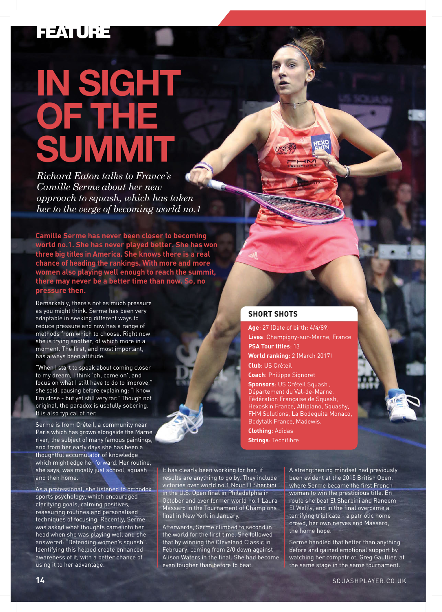## FEATURE

## **In sight of the sUMMIT**

*Richard Eaton talks to France's Camille Serme about her new approach to squash, which has taken her to the verge of becoming world no.1*

**Camille Serme has never been closer to becoming world no.1. She has never played better. She has won three big titles in America. She knows there is a real chance of heading the rankings. With more and more women also playing well enough to reach the summit, there may never be a better time than now. So, no pressure then.** 

Remarkably, there's not as much pressure as you might think. Serme has been very adaptable in seeking different ways to reduce pressure and now has a range of methods from which to choose. Right now she is trying another, of which more in a moment. The first, and most important, has always been attitude.

"When I start to speak about coming closer to my dream, I think 'oh, come on', and focus on what I still have to do to improve," she said, pausing before explaining: "I know I'm close - but yet still very far." Though not original, the paradox is usefully sobering. It is also typical of her.

Serme is from Créteil, a community near Paris which has grown alongside the Marne river, the subject of many famous paintings, and from her early days she has been a thoughtful accumulator of knowledge which might edge her forward. Her routine, she says, was mostly just school, squash and then home.

As a professional, she listened to orthodox sports psychology, which encouraged clarifying goals, calming positives, reassuring routines and personalised techniques of focusing. Recently, Serme was asked what thoughts came into her head when she was playing well and she answered: "Defending women's squash". Identifying this helped create enhanced awareness of it, with a better chance of using it to her advantage.



**Age**: 27 (Date of birth: 4/4/89) **Lives**: Champigny-sur-Marne, France **PSA Tour titles**: 13 **World ranking**: 2 (March 2017) **Club**: US Créteil **Coach**: Philippe Signoret **Sponsors**: US Créteil Squash.

Département du Val-de-Marne, Fédération Française de Squash, Hexoskin France, Altiplano, Squashy, FHM Solutions, La Bodeguita Monaco, Bodytalk France, Madewis.

**Clothing**: Adidas **Strings**: Tecnifibre

It has clearly been working for her, if results are anything to go by. They include victories over world no.1 Nour El Sherbini in the U.S. Open final in Philadelphia in October and over former world no.1 Laura Massaro in the Tournament of Champions final in New York in January.

Afterwards, Serme climbed to second in the world for the first time. She followed that by winning the Cleveland Classic in February, coming from 2/0 down against Alison Waters in the final. She had become even tougher than before to beat.

A strengthening mindset had previously been evident at the 2015 British Open, where Serme became the first French woman to win the prestigious title. En route she beat El Sherbini and Raneem El Welily, and in the final overcame a terrifying triplicate - a patriotic home crowd, her own nerves and Massaro, the home hope.

Serme handled that better than anything before and gained emotional support by watching her compatriot, Greg Gaultier, at the same stage in the same tournament.